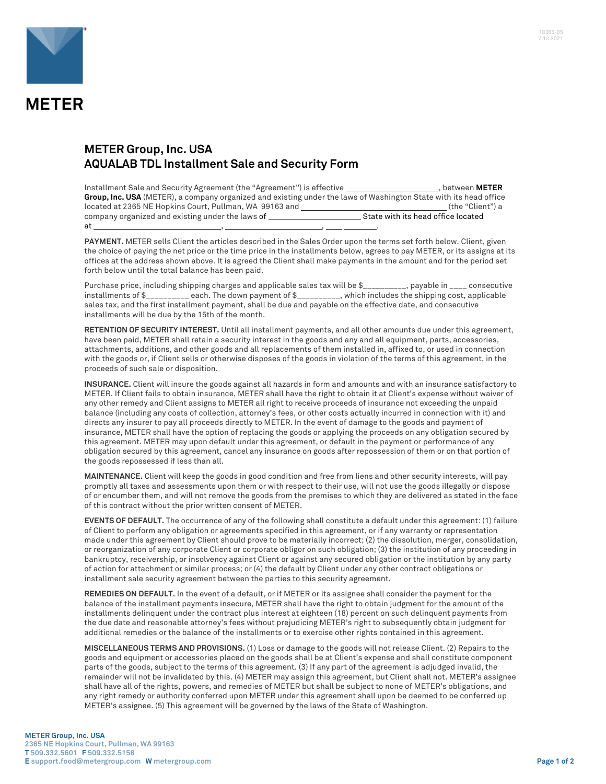

## **METER Group, Inc. USA AQUALAB TDL Installment Sale and Security Form**

| Installment Sale and Security Agreement (the "Agreement") is effective                                            | , between METER                    |  |
|-------------------------------------------------------------------------------------------------------------------|------------------------------------|--|
| Group, Inc. USA (METER), a company organized and existing under the laws of Washington State with its head office |                                    |  |
| located at 2365 NE Hopkins Court, Pullman, WA 99163 and                                                           | (the "Client") a                   |  |
| company organized and existing under the laws of                                                                  | State with its head office located |  |
| at                                                                                                                |                                    |  |

**PAYMENT.** METER sells Client the articles described in the Sales Order upon the terms set forth below. Client, given the choice of paying the net price or the time price in the installments below, agrees to pay METER, or its assigns at its offices at the address shown above. It is agreed the Client shall make payments in the amount and for the period set forth below until the total balance has been paid.

Purchase price, including shipping charges and applicable sales tax will be \$\_\_\_\_\_\_\_\_\_, payable in \_\_\_\_ consecutive installments of \$\_\_\_\_\_\_\_\_\_\_ each. The down payment of \$\_\_\_\_\_\_\_\_\_\_, which includes the shipping cost, applicable sales tax, and the first installment payment, shall be due and payable on the effective date, and consecutive installments will be due by the 15th of the month.

**RETENTION OF SECURITY INTEREST.** Until all installment payments, and all other amounts due under this agreement, have been paid, METER shall retain a security interest in the goods and any and all equipment, parts, accessories, attachments, additions, and other goods and all replacements of them installed in, affixed to, or used in connection with the goods or, if Client sells or otherwise disposes of the goods in violation of the terms of this agreement, in the proceeds of such sale or disposition.

**INSURANCE.** Client will insure the goods against all hazards in form and amounts and with an insurance satisfactory to METER. If Client fails to obtain insurance, METER shall have the right to obtain it at Client's expense without waiver of any other remedy and Client assigns to METER all right to receive proceeds of insurance not exceeding the unpaid balance (including any costs of collection, attorney's fees, or other costs actually incurred in connection with it) and directs any insurer to pay all proceeds directly to METER. In the event of damage to the goods and payment of insurance, METER shall have the option of replacing the goods or applying the proceeds on any obligation secured by this agreement. METER may upon default under this agreement, or default in the payment or performance of any obligation secured by this agreement, cancel any insurance on goods after repossession of them or on that portion of the goods repossessed if less than all.

**MAINTENANCE.** Client will keep the goods in good condition and free from liens and other security interests, will pay promptly all taxes and assessments upon them or with respect to their use, will not use the goods illegally or dispose of or encumber them, and will not remove the goods from the premises to which they are delivered as stated in the face of this contract without the prior written consent of METER.

**EVENTS OF DEFAULT.** The occurrence of any of the following shall constitute a default under this agreement: (1) failure of Client to perform any obligation or agreements specified in this agreement, or if any warranty or representation made under this agreement by Client should prove to be materially incorrect; (2) the dissolution, merger, consolidation, or reorganization of any corporate Client or corporate obligor on such obligation; (3) the institution of any proceeding in bankruptcy, receivership, or insolvency against Client or against any secured obligation or the institution by any party of action for attachment or similar process; or (4) the default by Client under any other contract obligations or installment sale security agreement between the parties to this security agreement.

**REMEDIES ON DEFAULT.** In the event of a default, or if METER or its assignee shall consider the payment for the balance of the installment payments insecure, METER shall have the right to obtain judgment for the amount of the installments delinquent under the contract plus interest at eighteen (18) percent on such delinquent payments from the due date and reasonable attorney's fees without prejudicing METER's right to subsequently obtain judgment for additional remedies or the balance of the installments or to exercise other rights contained in this agreement.

**MISCELLANEOUS TERMS AND PROVISIONS.** (1) Loss or damage to the goods will not release Client. (2) Repairs to the goods and equipment or accessories placed on the goods shall be at Client's expense and shall constitute component parts of the goods, subject to the terms of this agreement. (3) If any part of the agreement is adjudged invalid, the remainder will not be invalidated by this. (4) METER may assign this agreement, but Client shall not. METER's assignee shall have all of the rights, powers, and remedies of METER but shall be subject to none of METER's obligations, and any right remedy or authority conferred upon METER under this agreement shall upon be deemed to be conferred up METER's assignee. (5) This agreement will be governed by the laws of the State of Washington.